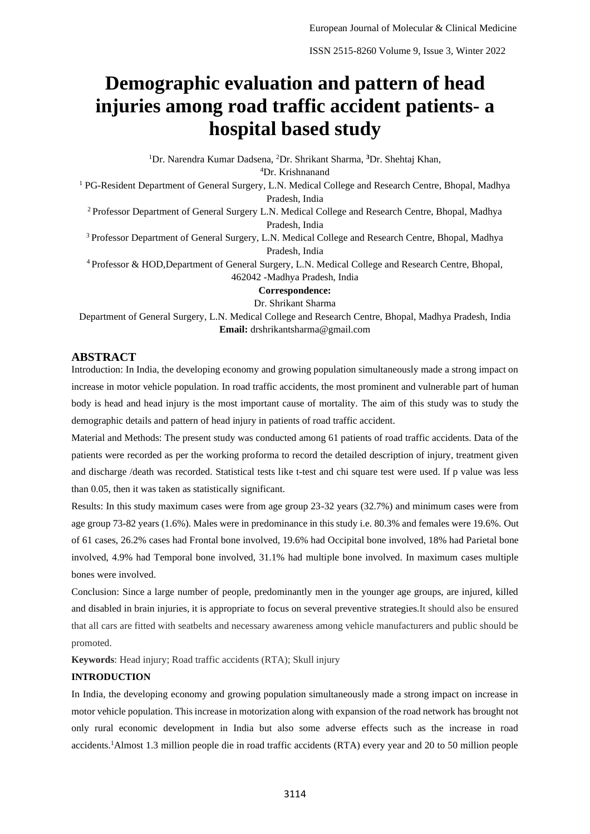# **Demographic evaluation and pattern of head injuries among road traffic accident patients- a hospital based study**

<sup>1</sup>Dr. Narendra Kumar Dadsena, <sup>2</sup>Dr. Shrikant Sharma, **<sup>3</sup>**Dr. Shehtaj Khan, <sup>4</sup>Dr. Krishnanand <sup>1</sup> PG-Resident Department of General Surgery, L.N. Medical College and Research Centre, Bhopal, Madhya Pradesh, India <sup>2</sup> Professor Department of General Surgery L.N. Medical College and Research Centre, Bhopal, Madhya Pradesh, India <sup>3</sup> Professor Department of General Surgery, L.N. Medical College and Research Centre, Bhopal, Madhya Pradesh, India <sup>4</sup> Professor & HOD,Department of General Surgery, L.N. Medical College and Research Centre, Bhopal, 462042 -Madhya Pradesh, India **Correspondence:** Dr. Shrikant Sharma

Department of General Surgery, L.N. Medical College and Research Centre, Bhopal, Madhya Pradesh, India **Email:** drshrikantsharma@gmail.com

# **ABSTRACT**

Introduction: In India, the developing economy and growing population simultaneously made a strong impact on increase in motor vehicle population. In road traffic accidents, the most prominent and vulnerable part of human body is head and head injury is the most important cause of mortality. The aim of this study was to study the demographic details and pattern of head injury in patients of road traffic accident.

Material and Methods: The present study was conducted among 61 patients of road traffic accidents. Data of the patients were recorded as per the working proforma to record the detailed description of injury, treatment given and discharge /death was recorded. Statistical tests like t-test and chi square test were used. If p value was less than 0.05, then it was taken as statistically significant.

Results: In this study maximum cases were from age group 23-32 years (32.7%) and minimum cases were from age group 73-82 years (1.6%). Males were in predominance in this study i.e. 80.3% and females were 19.6%. Out of 61 cases, 26.2% cases had Frontal bone involved, 19.6% had Occipital bone involved, 18% had Parietal bone involved, 4.9% had Temporal bone involved, 31.1% had multiple bone involved. In maximum cases multiple bones were involved.

Conclusion: Since a large number of people, predominantly men in the younger age groups, are injured, killed and disabled in brain injuries, it is appropriate to focus on several preventive strategies.It should also be ensured that all cars are fitted with seatbelts and necessary awareness among vehicle manufacturers and public should be promoted.

**Keywords**: Head injury; Road traffic accidents (RTA); Skull injury

#### **INTRODUCTION**

In India, the developing economy and growing population simultaneously made a strong impact on increase in motor vehicle population. This increase in motorization along with expansion of the road network has brought not only rural economic development in India but also some adverse effects such as the increase in road accidents.1Almost 1.3 million people die in road traffic accidents (RTA) every year and 20 to 50 million people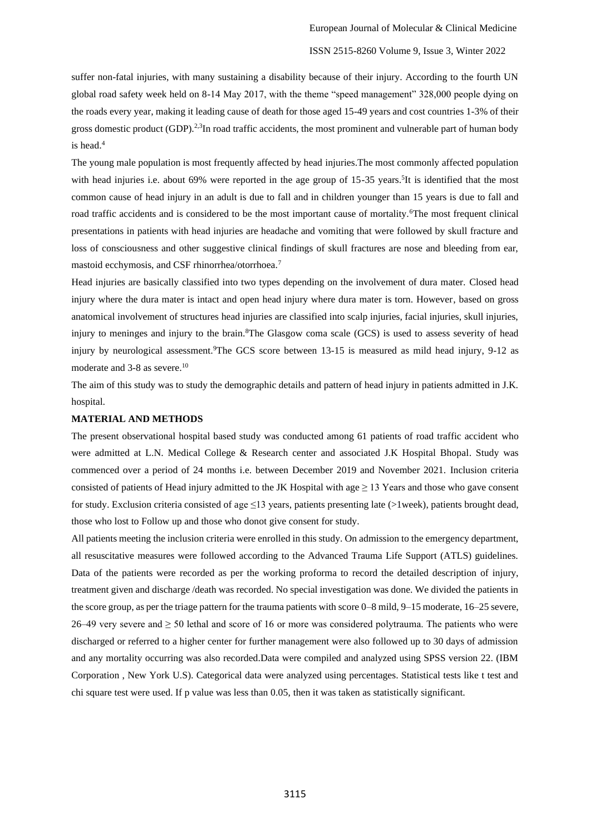# ISSN 2515-8260 Volume 9, Issue 3, Winter 2022

suffer non-fatal injuries, with many sustaining a disability because of their injury. According to the fourth UN global road safety week held on 8-14 May 2017, with the theme "speed management" 328,000 people dying on the roads every year, making it leading cause of death for those aged 15-49 years and cost countries 1-3% of their gross domestic product (GDP).<sup>2,3</sup>In road traffic accidents, the most prominent and vulnerable part of human body is head.<sup>4</sup>

The young male population is most frequently affected by head injuries.The most commonly affected population with head injuries i.e. about 69% were reported in the age group of 15-35 years.<sup>5</sup>It is identified that the most common cause of head injury in an adult is due to fall and in children younger than 15 years is due to fall and road traffic accidents and is considered to be the most important cause of mortality.<sup>6</sup>The most frequent clinical presentations in patients with head injuries are headache and vomiting that were followed by skull fracture and loss of consciousness and other suggestive clinical findings of skull fractures are nose and bleeding from ear, mastoid ecchymosis, and CSF rhinorrhea/otorrhoea.<sup>7</sup>

Head injuries are basically classified into two types depending on the involvement of dura mater. Closed head injury where the dura mater is intact and open head injury where dura mater is torn. However, based on gross anatomical involvement of structures head injuries are classified into scalp injuries, facial injuries, skull injuries, injury to meninges and injury to the brain.<sup>8</sup>The Glasgow coma scale (GCS) is used to assess severity of head injury by neurological assessment.<sup>9</sup>The GCS score between 13-15 is measured as mild head injury, 9-12 as moderate and 3-8 as severe.<sup>10</sup>

The aim of this study was to study the demographic details and pattern of head injury in patients admitted in J.K. hospital.

#### **MATERIAL AND METHODS**

The present observational hospital based study was conducted among 61 patients of road traffic accident who were admitted at L.N. Medical College & Research center and associated J.K Hospital Bhopal. Study was commenced over a period of 24 months i.e. between December 2019 and November 2021. Inclusion criteria consisted of patients of Head injury admitted to the JK Hospital with age  $\geq$  13 Years and those who gave consent for study. Exclusion criteria consisted of age  $\leq$ 13 years, patients presenting late (>1week), patients brought dead, those who lost to Follow up and those who donot give consent for study.

All patients meeting the inclusion criteria were enrolled in this study. On admission to the emergency department, all resuscitative measures were followed according to the Advanced Trauma Life Support (ATLS) guidelines. Data of the patients were recorded as per the working proforma to record the detailed description of injury, treatment given and discharge /death was recorded. No special investigation was done. We divided the patients in the score group, as per the triage pattern for the trauma patients with score 0–8 mild, 9–15 moderate, 16–25 severe, 26–49 very severe and ≥ 50 lethal and score of 16 or more was considered polytrauma. The patients who were discharged or referred to a higher center for further management were also followed up to 30 days of admission and any mortality occurring was also recorded.Data were compiled and analyzed using SPSS version 22. (IBM Corporation , New York U.S). Categorical data were analyzed using percentages. Statistical tests like t test and chi square test were used. If p value was less than 0.05, then it was taken as statistically significant.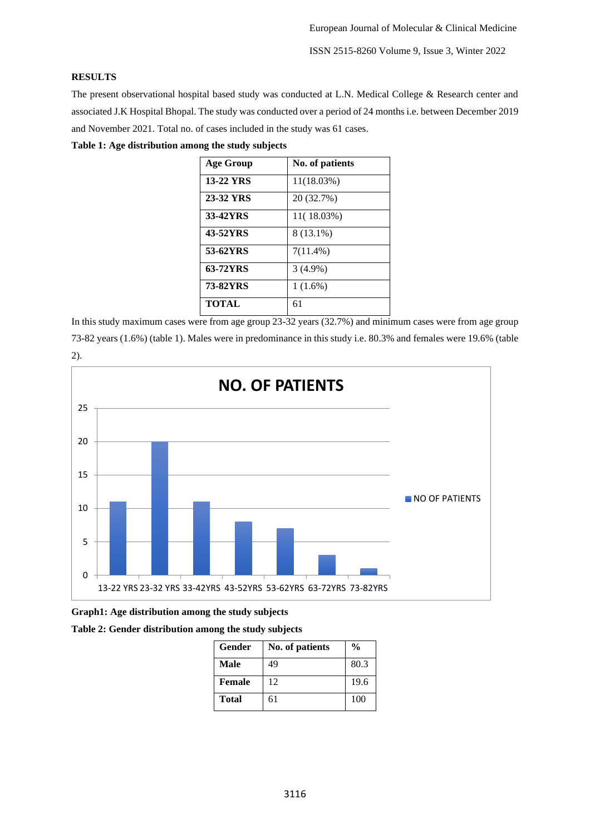ISSN 2515-8260 Volume 9, Issue 3, Winter 2022

# **RESULTS**

The present observational hospital based study was conducted at L.N. Medical College & Research center and associated J.K Hospital Bhopal. The study was conducted over a period of 24 months i.e. between December 2019 and November 2021. Total no. of cases included in the study was 61 cases.

**Table 1: Age distribution among the study subjects**

| <b>Age Group</b> | No. of patients |
|------------------|-----------------|
| <b>13-22 YRS</b> | 11(18.03%)      |
| 23-32 YRS        | 20 (32.7%)      |
| 33-42YRS         | 11(18.03%)      |
| 43-52YRS         | 8 (13.1%)       |
| 53-62YRS         | $7(11.4\%)$     |
| 63-72YRS         | $3(4.9\%)$      |
| 73-82YRS         | $1(1.6\%)$      |
| <b>TOTAL</b>     | 61              |

In this study maximum cases were from age group 23-32 years (32.7%) and minimum cases were from age group 73-82 years (1.6%) (table 1). Males were in predominance in this study i.e. 80.3% and females were 19.6% (table 2).



**Graph1: Age distribution among the study subjects**

**Table 2: Gender distribution among the study subjects**

| Gender | No. of patients | $\frac{0}{0}$ |
|--------|-----------------|---------------|
| Male   | 49              | 80.3          |
| Female | 12              | 19.6          |
| Total  | 61              | 100           |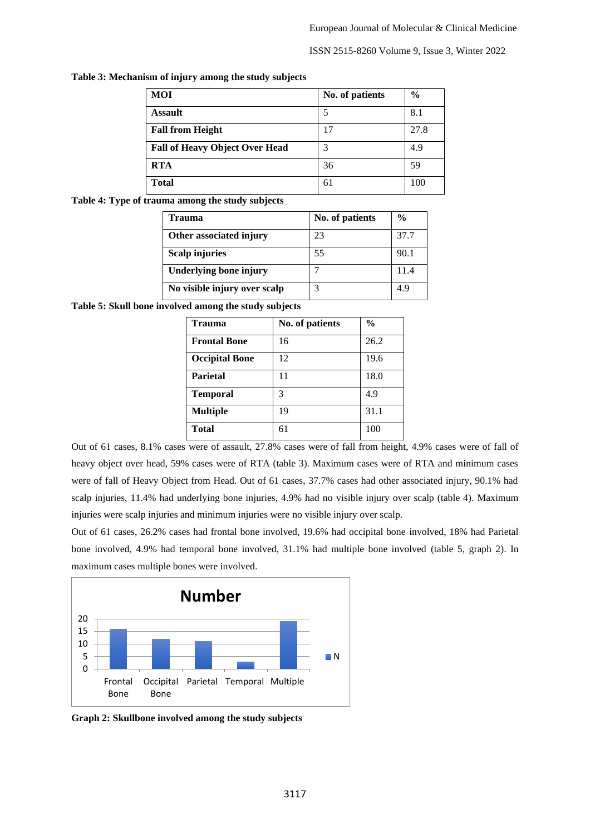## ISSN 2515-8260 Volume 9, Issue 3, Winter 2022

| <b>MOI</b>                            | No. of patients | $\frac{0}{0}$ |
|---------------------------------------|-----------------|---------------|
| <b>Assault</b>                        | 5               | 8.1           |
| <b>Fall from Height</b>               | 17              | 27.8          |
| <b>Fall of Heavy Object Over Head</b> | 3               | 4.9           |
| <b>RTA</b>                            | 36              | 59            |
| <b>Total</b>                          | 61              | 100           |

#### **Table 3: Mechanism of injury among the study subjects**

# **Table 4: Type of trauma among the study subjects**

| Trauma                        | No. of patients | $\frac{0}{0}$ |
|-------------------------------|-----------------|---------------|
| Other associated injury       | 23              | 37.7          |
| <b>Scalp injuries</b>         | 55              | 90.1          |
| <b>Underlying bone injury</b> |                 | 11.4          |
| No visible injury over scalp  |                 | 4.9           |

**Table 5: Skull bone involved among the study subjects**

| <b>Trauma</b>         | No. of patients | $\frac{0}{0}$ |
|-----------------------|-----------------|---------------|
| <b>Frontal Bone</b>   | 16              | 26.2          |
| <b>Occipital Bone</b> | 12              | 19.6          |
| <b>Parietal</b>       | 11              | 18.0          |
| <b>Temporal</b>       | 3               | 4.9           |
| <b>Multiple</b>       | 19              | 31.1          |
| <b>Total</b>          | 61              | 100           |

Out of 61 cases, 8.1% cases were of assault, 27.8% cases were of fall from height, 4.9% cases were of fall of heavy object over head, 59% cases were of RTA (table 3). Maximum cases were of RTA and minimum cases were of fall of Heavy Object from Head. Out of 61 cases, 37.7% cases had other associated injury, 90.1% had scalp injuries, 11.4% had underlying bone injuries, 4.9% had no visible injury over scalp (table 4). Maximum injuries were scalp injuries and minimum injuries were no visible injury over scalp.

Out of 61 cases, 26.2% cases had frontal bone involved, 19.6% had occipital bone involved, 18% had Parietal bone involved, 4.9% had temporal bone involved, 31.1% had multiple bone involved (table 5, graph 2). In maximum cases multiple bones were involved.



**Graph 2: Skullbone involved among the study subjects**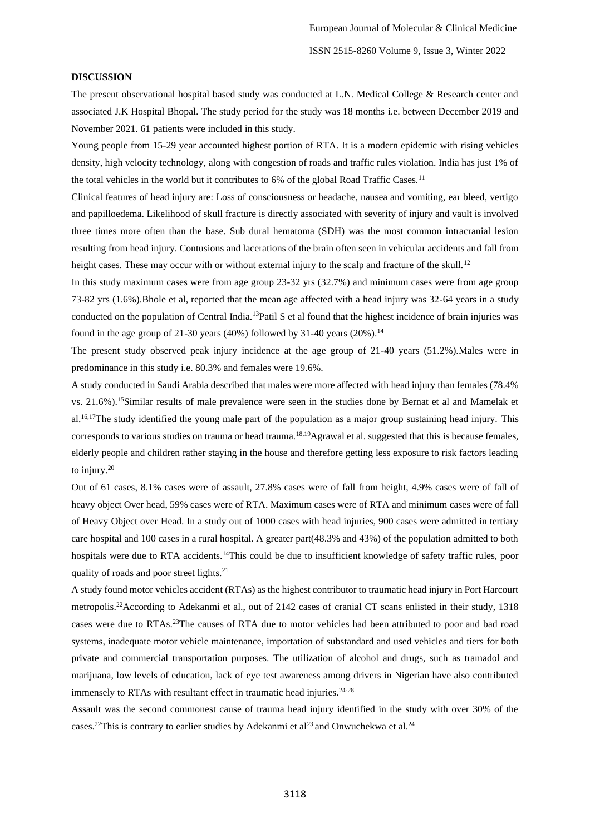#### **DISCUSSION**

The present observational hospital based study was conducted at L.N. Medical College & Research center and associated J.K Hospital Bhopal. The study period for the study was 18 months i.e. between December 2019 and November 2021. 61 patients were included in this study.

Young people from 15-29 year accounted highest portion of RTA. It is a modern epidemic with rising vehicles density, high velocity technology, along with congestion of roads and traffic rules violation. India has just 1% of the total vehicles in the world but it contributes to 6% of the global Road Traffic Cases.<sup>11</sup>

Clinical features of head injury are: Loss of consciousness or headache, nausea and vomiting, ear bleed, vertigo and papilloedema. Likelihood of skull fracture is directly associated with severity of injury and vault is involved three times more often than the base. Sub dural hematoma (SDH) was the most common intracranial lesion resulting from head injury. Contusions and lacerations of the brain often seen in vehicular accidents and fall from height cases. These may occur with or without external injury to the scalp and fracture of the skull.<sup>12</sup>

In this study maximum cases were from age group 23-32 yrs (32.7%) and minimum cases were from age group 73-82 yrs (1.6%).Bhole et al, reported that the mean age affected with a head injury was 32-64 years in a study conducted on the population of Central India.<sup>13</sup>Patil S et al found that the highest incidence of brain injuries was found in the age group of 21-30 years (40%) followed by 31-40 years (20%).<sup>14</sup>

The present study observed peak injury incidence at the age group of 21-40 years (51.2%).Males were in predominance in this study i.e. 80.3% and females were 19.6%.

A study conducted in Saudi Arabia described that males were more affected with head injury than females (78.4% vs. 21.6%).<sup>15</sup>Similar results of male prevalence were seen in the studies done by Bernat et al and Mamelak et al.<sup>16,17</sup>The study identified the young male part of the population as a major group sustaining head injury. This corresponds to various studies on trauma or head trauma.18,19Agrawal et al. suggested that this is because females, elderly people and children rather staying in the house and therefore getting less exposure to risk factors leading to injury.<sup>20</sup>

Out of 61 cases, 8.1% cases were of assault, 27.8% cases were of fall from height, 4.9% cases were of fall of heavy object Over head, 59% cases were of RTA. Maximum cases were of RTA and minimum cases were of fall of Heavy Object over Head. In a study out of 1000 cases with head injuries, 900 cases were admitted in tertiary care hospital and 100 cases in a rural hospital. A greater part(48.3% and 43%) of the population admitted to both hospitals were due to RTA accidents.<sup>14</sup>This could be due to insufficient knowledge of safety traffic rules, poor quality of roads and poor street lights.<sup>21</sup>

A study found motor vehicles accident (RTAs) as the highest contributor to traumatic head injury in Port Harcourt metropolis.<sup>22</sup>According to Adekanmi et al., out of 2142 cases of cranial CT scans enlisted in their study, 1318 cases were due to RTAs.<sup>23</sup>The causes of RTA due to motor vehicles had been attributed to poor and bad road systems, inadequate motor vehicle maintenance, importation of substandard and used vehicles and tiers for both private and commercial transportation purposes. The utilization of alcohol and drugs, such as tramadol and marijuana, low levels of education, lack of eye test awareness among drivers in Nigerian have also contributed immensely to RTAs with resultant effect in traumatic head injuries. $24-28$ 

Assault was the second commonest cause of trauma head injury identified in the study with over 30% of the cases.<sup>22</sup>This is contrary to earlier studies by Adekanmi et al.<sup>23</sup> and Onwuchekwa et al.<sup>24</sup>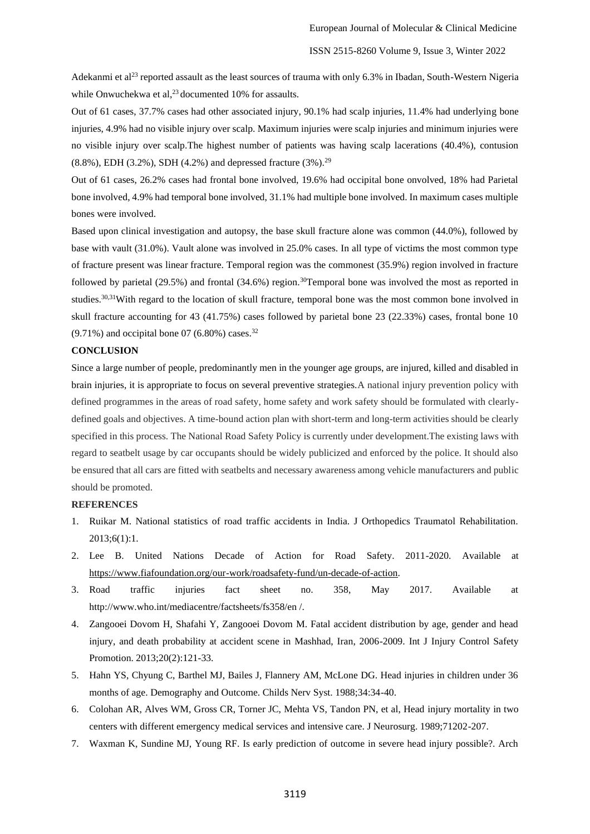Adekanmi et al<sup>23</sup> reported assault as the least sources of trauma with only 6.3% in Ibadan, South-Western Nigeria while Onwuchekwa et al, $^{23}$  documented 10% for assaults.

Out of 61 cases, 37.7% cases had other associated injury, 90.1% had scalp injuries, 11.4% had underlying bone injuries, 4.9% had no visible injury over scalp. Maximum injuries were scalp injuries and minimum injuries were no visible injury over scalp.The highest number of patients was having scalp lacerations (40.4%), contusion (8.8%), EDH (3.2%), SDH (4.2%) and depressed fracture (3%).<sup>29</sup>

Out of 61 cases, 26.2% cases had frontal bone involved, 19.6% had occipital bone onvolved, 18% had Parietal bone involved, 4.9% had temporal bone involved, 31.1% had multiple bone involved. In maximum cases multiple bones were involved.

Based upon clinical investigation and autopsy, the base skull fracture alone was common (44.0%), followed by base with vault (31.0%). Vault alone was involved in 25.0% cases. In all type of victims the most common type of fracture present was linear fracture. Temporal region was the commonest (35.9%) region involved in fracture followed by parietal (29.5%) and frontal (34.6%) region.<sup>30</sup>Temporal bone was involved the most as reported in studies.<sup>30,31</sup>With regard to the location of skull fracture, temporal bone was the most common bone involved in skull fracture accounting for 43 (41.75%) cases followed by parietal bone 23 (22.33%) cases, frontal bone 10  $(9.71\%)$  and occipital bone 07 (6.80%) cases.<sup>32</sup>

### **CONCLUSION**

Since a large number of people, predominantly men in the younger age groups, are injured, killed and disabled in brain injuries, it is appropriate to focus on several preventive strategies.A national injury prevention policy with defined programmes in the areas of road safety, home safety and work safety should be formulated with clearlydefined goals and objectives. A time-bound action plan with short-term and long-term activities should be clearly specified in this process. The National Road Safety Policy is currently under development.The existing laws with regard to seatbelt usage by car occupants should be widely publicized and enforced by the police. It should also be ensured that all cars are fitted with seatbelts and necessary awareness among vehicle manufacturers and public should be promoted.

# **REFERENCES**

- 1. Ruikar M. National statistics of road traffic accidents in India. J Orthopedics Traumatol Rehabilitation. 2013;6(1):1.
- 2. Lee B. United Nations Decade of Action for Road Safety. 2011-2020. Available at [https://www.fiafoundation.org/our-work/roadsafety-fund/un-decade-of-action.](https://www.fiafoundation.org/our-work/roadsafety-fund/un-decade-of-action)
- 3. Road traffic injuries fact sheet no. 358, May 2017. Available at http://www.who.int/mediacentre/factsheets/fs358/en /.
- 4. Zangooei Dovom H, Shafahi Y, Zangooei Dovom M. Fatal accident distribution by age, gender and head injury, and death probability at accident scene in Mashhad, Iran, 2006-2009. Int J Injury Control Safety Promotion. 2013;20(2):121-33.
- 5. Hahn YS, Chyung C, Barthel MJ, Bailes J, Flannery AM, McLone DG. Head injuries in children under 36 months of age. Demography and Outcome. Childs Nerv Syst. 1988;34:34-40.
- 6. Colohan AR, Alves WM, Gross CR, Torner JC, Mehta VS, Tandon PN, et al, Head injury mortality in two centers with different emergency medical services and intensive care. J Neurosurg. 1989;71202-207.
- 7. Waxman K, Sundine MJ, Young RF. Is early prediction of outcome in severe head injury possible?. Arch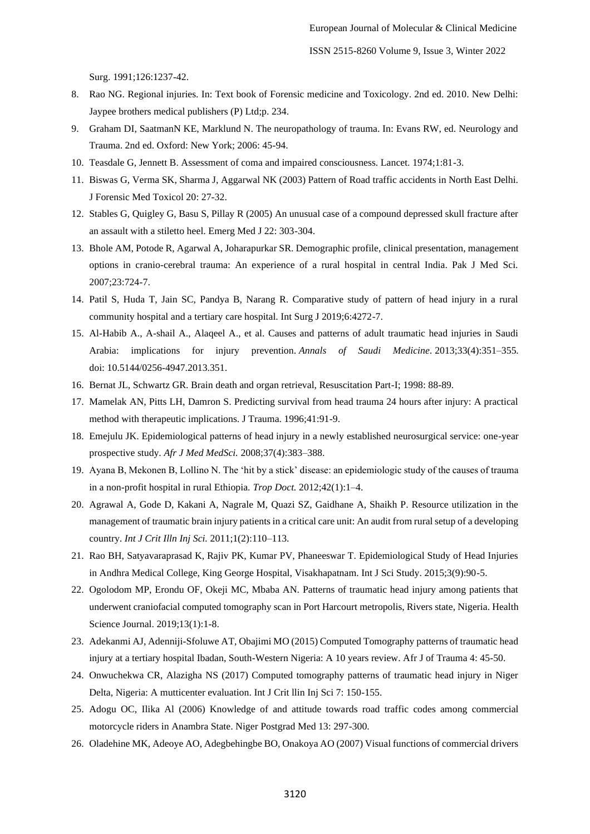Surg. 1991;126:1237-42.

- 8. Rao NG. Regional injuries. In: Text book of Forensic medicine and Toxicology. 2nd ed. 2010. New Delhi: Jaypee brothers medical publishers (P) Ltd;p. 234.
- 9. Graham DI, SaatmanN KE, Marklund N. The neuropathology of trauma. In: Evans RW, ed. Neurology and Trauma. 2nd ed. Oxford: New York; 2006: 45-94.
- 10. Teasdale G, Jennett B. Assessment of coma and impaired consciousness. Lancet. 1974;1:81-3.
- 11. Biswas G, Verma SK, Sharma J, Aggarwal NK (2003) Pattern of Road traffic accidents in North East Delhi. J Forensic Med Toxicol 20: 27-32.
- 12. Stables G, Quigley G, Basu S, Pillay R (2005) An unusual case of a compound depressed skull fracture after an assault with a stiletto heel. Emerg Med J 22: 303-304.
- 13. Bhole AM, Potode R, Agarwal A, Joharapurkar SR. Demographic profile, clinical presentation, management options in cranio-cerebral trauma: An experience of a rural hospital in central India. Pak J Med Sci. 2007;23:724-7.
- 14. Patil S, Huda T, Jain SC, Pandya B, Narang R. Comparative study of pattern of head injury in a rural community hospital and a tertiary care hospital. Int Surg J 2019;6:4272-7.
- 15. Al-Habib A., A-shail A., Alaqeel A., et al. Causes and patterns of adult traumatic head injuries in Saudi Arabia: implications for injury prevention. *Annals of Saudi Medicine.* 2013;33(4):351–355. doi: 10.5144/0256-4947.2013.351.
- 16. Bernat JL, Schwartz GR. Brain death and organ retrieval, Resuscitation Part-I; 1998: 88-89.
- 17. Mamelak AN, Pitts LH, Damron S. Predicting survival from head trauma 24 hours after injury: A practical method with therapeutic implications. J Trauma. 1996;41:91-9.
- 18. Emejulu JK. Epidemiological patterns of head injury in a newly established neurosurgical service: one-year prospective study. *Afr J Med MedSci.* 2008;37(4):383–388.
- 19. Ayana B, Mekonen B, Lollino N. The 'hit by a stick' disease: an epidemiologic study of the causes of trauma in a non-profit hospital in rural Ethiopia. *Trop Doct.* 2012;42(1):1–4.
- 20. Agrawal A, Gode D, Kakani A, Nagrale M, Quazi SZ, Gaidhane A, Shaikh P. Resource utilization in the management of traumatic brain injury patients in a critical care unit: An audit from rural setup of a developing country. *Int J Crit Illn Inj Sci.* 2011;1(2):110–113.
- 21. Rao BH, Satyavaraprasad K, Rajiv PK, Kumar PV, Phaneeswar T. Epidemiological Study of Head Injuries in Andhra Medical College, King George Hospital, Visakhapatnam. Int J Sci Study. 2015;3(9):90-5.
- 22. Ogolodom MP, Erondu OF, Okeji MC, Mbaba AN. Patterns of traumatic head injury among patients that underwent craniofacial computed tomography scan in Port Harcourt metropolis, Rivers state, Nigeria. Health Science Journal. 2019;13(1):1-8.
- 23. Adekanmi AJ, Adenniji-Sfoluwe AT, Obajimi MO (2015) Computed Tomography patterns of traumatic head injury at a tertiary hospital Ibadan, South-Western Nigeria: A 10 years review. Afr J of Trauma 4: 45-50.
- 24. Onwuchekwa CR, Alazigha NS (2017) Computed tomography patterns of traumatic head injury in Niger Delta, Nigeria: A mutticenter evaluation. Int J Crit llin Inj Sci 7: 150-155.
- 25. Adogu OC, Ilika Al (2006) Knowledge of and attitude towards road traffic codes among commercial motorcycle riders in Anambra State. Niger Postgrad Med 13: 297-300.
- 26. Oladehine MK, Adeoye AO, Adegbehingbe BO, Onakoya AO (2007) Visual functions of commercial drivers